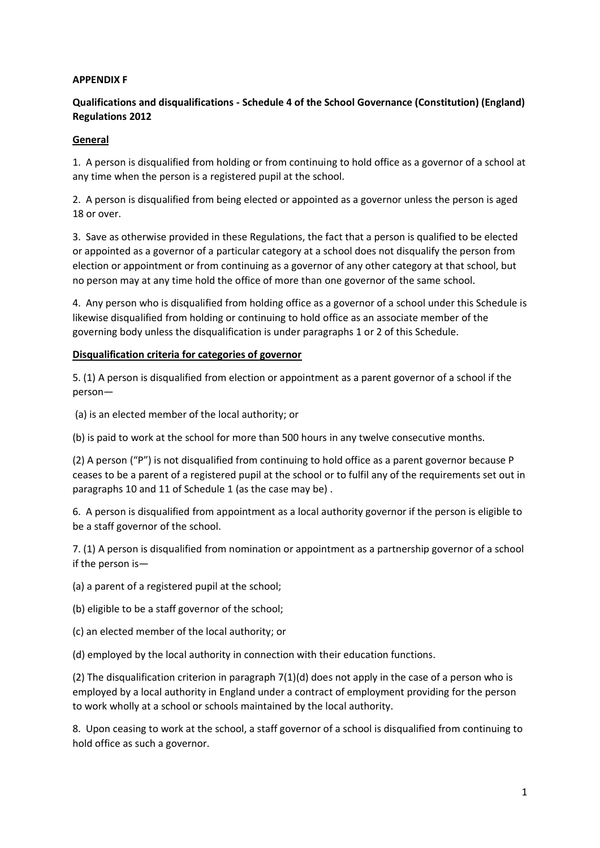### **APPENDIX F**

## **Qualifications and disqualifications - Schedule 4 of the School Governance (Constitution) (England) Regulations 2012**

### **General**

1. A person is disqualified from holding or from continuing to hold office as a governor of a school at any time when the person is a registered pupil at the school.

2. A person is disqualified from being elected or appointed as a governor unless the person is aged 18 or over.

3. Save as otherwise provided in these Regulations, the fact that a person is qualified to be elected or appointed as a governor of a particular category at a school does not disqualify the person from election or appointment or from continuing as a governor of any other category at that school, but no person may at any time hold the office of more than one governor of the same school.

4. Any person who is disqualified from holding office as a governor of a school under this Schedule is likewise disqualified from holding or continuing to hold office as an associate member of the governing body unless the disqualification is under paragraphs 1 or 2 of this Schedule.

### **Disqualification criteria for categories of governor**

5. (1) A person is disqualified from election or appointment as a parent governor of a school if the person—

(a) is an elected member of the local authority; or

(b) is paid to work at the school for more than 500 hours in any twelve consecutive months.

(2) A person ("P") is not disqualified from continuing to hold office as a parent governor because P ceases to be a parent of a registered pupil at the school or to fulfil any of the requirements set out in paragraphs 10 and 11 of Schedule 1 (as the case may be) .

6. A person is disqualified from appointment as a local authority governor if the person is eligible to be a staff governor of the school.

7. (1) A person is disqualified from nomination or appointment as a partnership governor of a school if the person is—

(a) a parent of a registered pupil at the school;

(b) eligible to be a staff governor of the school;

(c) an elected member of the local authority; or

(d) employed by the local authority in connection with their education functions.

(2) The disqualification criterion in paragraph 7(1)(d) does not apply in the case of a person who is employed by a local authority in England under a contract of employment providing for the person to work wholly at a school or schools maintained by the local authority.

8. Upon ceasing to work at the school, a staff governor of a school is disqualified from continuing to hold office as such a governor.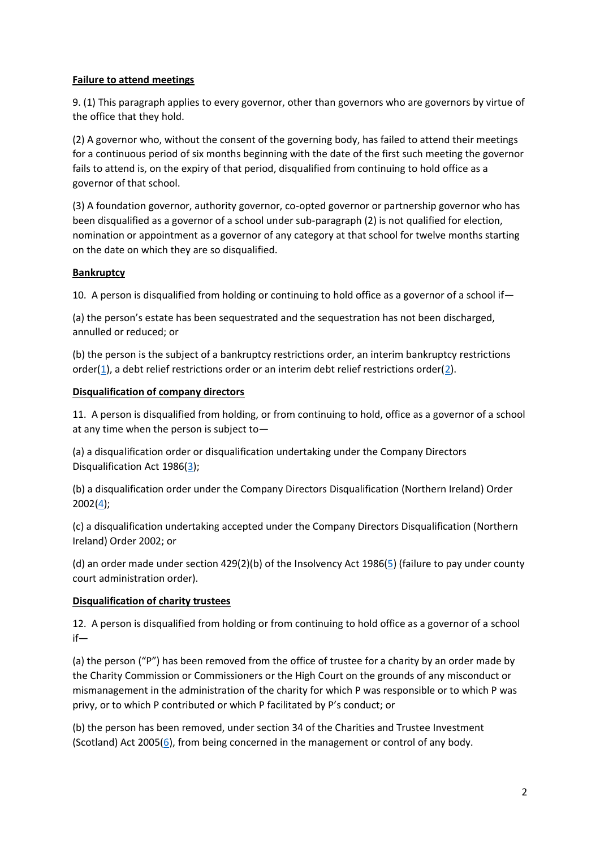### **Failure to attend meetings**

9. (1) This paragraph applies to every governor, other than governors who are governors by virtue of the office that they hold.

(2) A governor who, without the consent of the governing body, has failed to attend their meetings for a continuous period of six months beginning with the date of the first such meeting the governor fails to attend is, on the expiry of that period, disqualified from continuing to hold office as a governor of that school.

(3) A foundation governor, authority governor, co-opted governor or partnership governor who has been disqualified as a governor of a school under sub-paragraph (2) is not qualified for election, nomination or appointment as a governor of any category at that school for twelve months starting on the date on which they are so disqualified.

### **Bankruptcy**

10. A person is disqualified from holding or continuing to hold office as a governor of a school if—

(a) the person's estate has been sequestrated and the sequestration has not been discharged, annulled or reduced; or

(b) the person is the subject of a bankruptcy restrictions order, an interim bankruptcy restrictions order[\(1\)](http://www.legislation.gov.uk/uksi/2012/1034/schedule/4/made#f00017), a debt relief restrictions order or an interim debt relief restrictions order[\(2\)](http://www.legislation.gov.uk/uksi/2012/1034/schedule/4/made#f00018).

### **Disqualification of company directors**

11. A person is disqualified from holding, or from continuing to hold, office as a governor of a school at any time when the person is subject to—

(a) a disqualification order or disqualification undertaking under the Company Directors Disqualification Act 1986[\(3\)](http://www.legislation.gov.uk/uksi/2012/1034/schedule/4/made#f00019);

(b) a disqualification order under the Company Directors Disqualification (Northern Ireland) Order 2002[\(4\)](http://www.legislation.gov.uk/uksi/2012/1034/schedule/4/made#f00020);

(c) a disqualification undertaking accepted under the Company Directors Disqualification (Northern Ireland) Order 2002; or

(d) an order made under section 429(2)(b) of the Insolvency Act 1986[\(5\)](http://www.legislation.gov.uk/uksi/2012/1034/schedule/4/made#f00021) (failure to pay under county court administration order).

# **Disqualification of charity trustees**

12. A person is disqualified from holding or from continuing to hold office as a governor of a school if—

(a) the person ("P") has been removed from the office of trustee for a charity by an order made by the Charity Commission or Commissioners or the High Court on the grounds of any misconduct or mismanagement in the administration of the charity for which P was responsible or to which P was privy, or to which P contributed or which P facilitated by P's conduct; or

(b) the person has been removed, under section 34 of the Charities and Trustee Investment (Scotland) Act 2005 $(6)$ , from being concerned in the management or control of any body.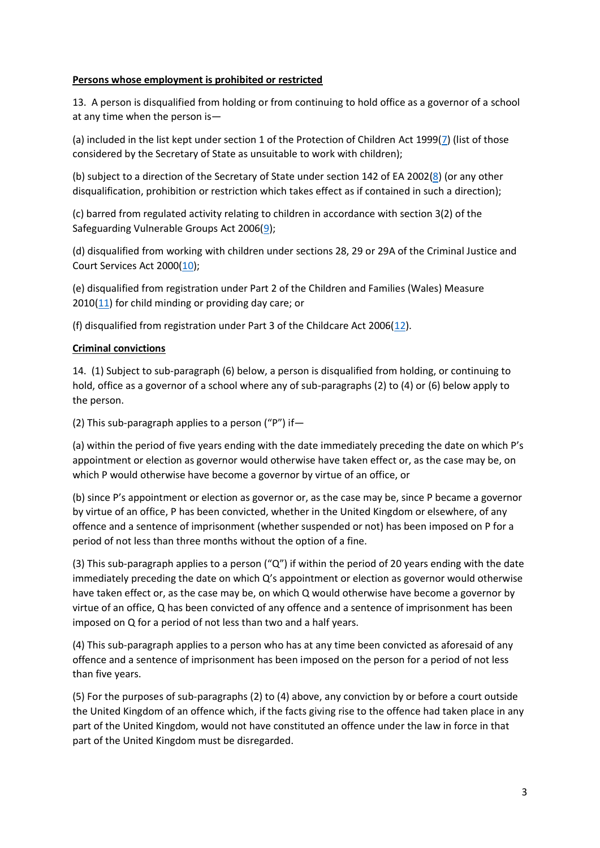### **Persons whose employment is prohibited or restricted**

13. A person is disqualified from holding or from continuing to hold office as a governor of a school at any time when the person is—

(a) included in the list kept under section 1 of the Protection of Children Act 1999[\(7\)](http://www.legislation.gov.uk/uksi/2012/1034/schedule/4/made#f00023) (list of those considered by the Secretary of State as unsuitable to work with children);

(b) subject to a direction of the Secretary of State under section 142 of EA 2002[\(8\)](http://www.legislation.gov.uk/uksi/2012/1034/schedule/4/made#f00024) (or any other disqualification, prohibition or restriction which takes effect as if contained in such a direction);

(c) barred from regulated activity relating to children in accordance with section 3(2) of the Safeguarding Vulnerable Groups Act 2006[\(9\)](http://www.legislation.gov.uk/uksi/2012/1034/schedule/4/made#f00025);

(d) disqualified from working with children under sections 28, 29 or 29A of the Criminal Justice and Court Services Act 2000[\(10\)](http://www.legislation.gov.uk/uksi/2012/1034/schedule/4/made#f00026);

(e) disqualified from registration under Part 2 of the Children and Families (Wales) Measure  $2010(11)$  $2010(11)$  for child minding or providing day care; or

(f) disqualified from registration under Part 3 of the Childcare Act 2006[\(12\)](http://www.legislation.gov.uk/uksi/2012/1034/schedule/4/made#f00028).

### **Criminal convictions**

14. (1) Subject to sub-paragraph (6) below, a person is disqualified from holding, or continuing to hold, office as a governor of a school where any of sub-paragraphs (2) to (4) or (6) below apply to the person.

(2) This sub-paragraph applies to a person ("P") if—

(a) within the period of five years ending with the date immediately preceding the date on which P's appointment or election as governor would otherwise have taken effect or, as the case may be, on which P would otherwise have become a governor by virtue of an office, or

(b) since P's appointment or election as governor or, as the case may be, since P became a governor by virtue of an office, P has been convicted, whether in the United Kingdom or elsewhere, of any offence and a sentence of imprisonment (whether suspended or not) has been imposed on P for a period of not less than three months without the option of a fine.

(3) This sub-paragraph applies to a person (" $Q$ ") if within the period of 20 years ending with the date immediately preceding the date on which Q's appointment or election as governor would otherwise have taken effect or, as the case may be, on which Q would otherwise have become a governor by virtue of an office, Q has been convicted of any offence and a sentence of imprisonment has been imposed on Q for a period of not less than two and a half years.

(4) This sub-paragraph applies to a person who has at any time been convicted as aforesaid of any offence and a sentence of imprisonment has been imposed on the person for a period of not less than five years.

(5) For the purposes of sub-paragraphs (2) to (4) above, any conviction by or before a court outside the United Kingdom of an offence which, if the facts giving rise to the offence had taken place in any part of the United Kingdom, would not have constituted an offence under the law in force in that part of the United Kingdom must be disregarded.